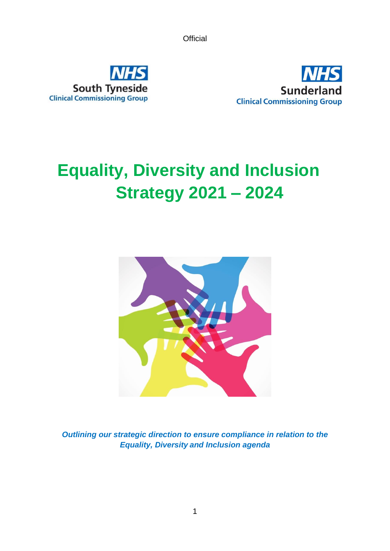



# <span id="page-0-0"></span>**Equality, Diversity and Inclusion Strategy 2021 – 2024**



*Outlining our strategic direction to ensure compliance in relation to the Equality, Diversity and Inclusion agenda*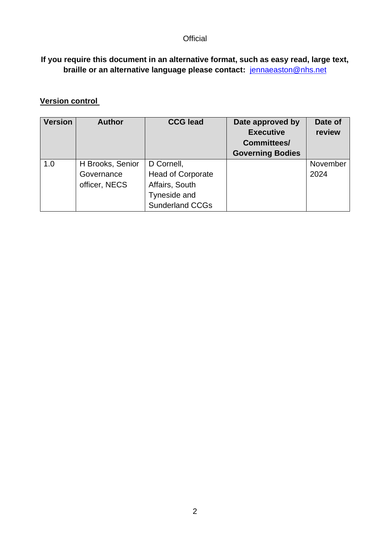#### **If you require this document in an alternative format, such as easy read, large text, braille or an alternative language please contact:** [jennaeaston@nhs.net](mailto:jennaeaston@nhs.net)

## **Version control**

| <b>Version</b> | <b>Author</b>    | <b>CCG lead</b>          | Date approved by<br><b>Executive</b><br><b>Committees/</b><br><b>Governing Bodies</b> | Date of<br>review |
|----------------|------------------|--------------------------|---------------------------------------------------------------------------------------|-------------------|
| 1.0            | H Brooks, Senior | D Cornell,               |                                                                                       | November          |
|                | Governance       | <b>Head of Corporate</b> |                                                                                       | 2024              |
|                | officer, NECS    | Affairs, South           |                                                                                       |                   |
|                |                  | Tyneside and             |                                                                                       |                   |
|                |                  | <b>Sunderland CCGs</b>   |                                                                                       |                   |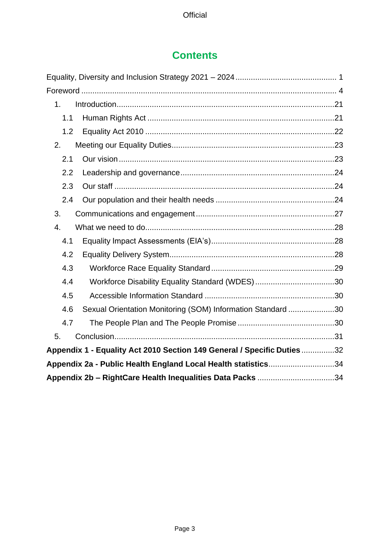# **Contents**

| 1 <sub>1</sub>                                                |                                                                         |  |
|---------------------------------------------------------------|-------------------------------------------------------------------------|--|
| 1.1                                                           |                                                                         |  |
| 1.2                                                           |                                                                         |  |
| 2.                                                            |                                                                         |  |
| 2.1                                                           |                                                                         |  |
| 2.2                                                           |                                                                         |  |
| 2.3                                                           |                                                                         |  |
| 2.4                                                           |                                                                         |  |
| 3.                                                            |                                                                         |  |
| 4.                                                            |                                                                         |  |
| 4.1                                                           |                                                                         |  |
| 4.2                                                           |                                                                         |  |
| 4.3                                                           |                                                                         |  |
| 4.4                                                           |                                                                         |  |
| 4.5                                                           |                                                                         |  |
| 4.6                                                           | Sexual Orientation Monitoring (SOM) Information Standard 30             |  |
| 4.7                                                           |                                                                         |  |
| 5.                                                            |                                                                         |  |
|                                                               | Appendix 1 - Equality Act 2010 Section 149 General / Specific Duties 32 |  |
| Appendix 2a - Public Health England Local Health statistics34 |                                                                         |  |
|                                                               | Appendix 2b - RightCare Health Inequalities Data Packs 34               |  |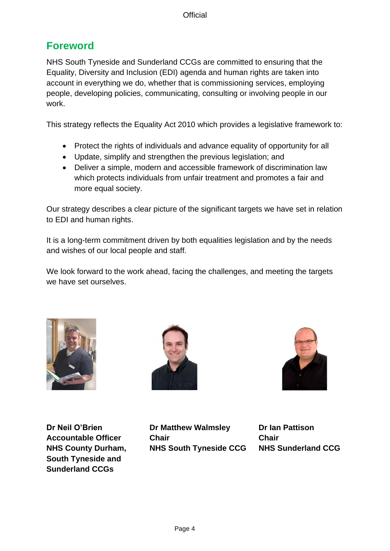# <span id="page-3-0"></span>**Foreword**

NHS South Tyneside and Sunderland CCGs are committed to ensuring that the Equality, Diversity and Inclusion (EDI) agenda and human rights are taken into account in everything we do, whether that is commissioning services, employing people, developing policies, communicating, consulting or involving people in our work.

This strategy reflects the Equality Act 2010 which provides a legislative framework to:

- Protect the rights of individuals and advance equality of opportunity for all
- Update, simplify and strengthen the previous legislation; and
- Deliver a simple, modern and accessible framework of discrimination law which protects individuals from unfair treatment and promotes a fair and more equal society.

Our strategy describes a clear picture of the significant targets we have set in relation to EDI and human rights.

It is a long-term commitment driven by both equalities legislation and by the needs and wishes of our local people and staff.

We look forward to the work ahead, facing the challenges, and meeting the targets we have set ourselves.







**South Tyneside and Sunderland CCGs**

**Dr Neil O'Brien Dr Matthew Walmsley Dr Ian Pattison Accountable Officer Chair Chair NHS County Durham, NHS South Tyneside CCG NHS Sunderland CCG**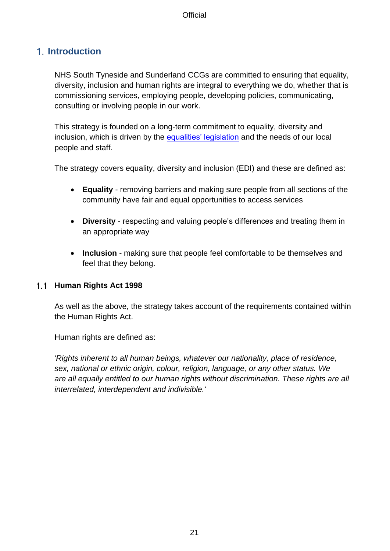## <span id="page-4-0"></span>**Introduction**

NHS South Tyneside and Sunderland CCGs are committed to ensuring that equality, diversity, inclusion and human rights are integral to everything we do, whether that is commissioning services, employing people, developing policies, communicating, consulting or involving people in our work.

This strategy is founded on a long-term commitment to equality, diversity and inclusion, which is driven by the [equalities' legislation](https://www.legislation.gov.uk/ukpga/2010/15/contents) and the needs of our local people and staff.

The strategy covers equality, diversity and inclusion (EDI) and these are defined as:

- **Equality**  removing barriers and making sure people from all sections of the community have fair and equal opportunities to access services
- **Diversity**  respecting and valuing people's differences and treating them in an appropriate way
- **Inclusion** making sure that people feel comfortable to be themselves and feel that they belong.

#### <span id="page-4-1"></span>**Human Rights Act 1998**

As well as the above, the strategy takes account of the requirements contained within the Human Rights Act.

Human rights are defined as:

*'Rights inherent to all human beings, whatever our nationality, place of residence, sex, national or ethnic origin, colour, religion, language, or any other status. We are all equally entitled to our human rights without discrimination. These rights are all interrelated, interdependent and indivisible.'*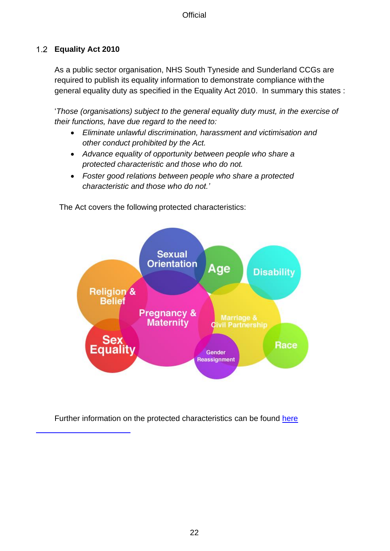### <span id="page-5-0"></span>**Equality Act 2010**

As a public sector organisation, NHS South Tyneside and Sunderland CCGs are required to publish its equality information to demonstrate compliance with the general equality duty as specified in the Equality Act 2010. In summary this states :

'*Those (organisations) subject to the general equality duty must, in the exercise of their functions, have due regard to the need to:*

- *Eliminate unlawful discrimination, harassment and victimisation and other conduct prohibited by the Act.*
- *Advance equality of opportunity between people who share a protected characteristic and those who do not.*
- *Foster good relations between people who share a protected characteristic and those who do not.'*

**Sexual Orientation** Age **Disability Religion & Belief Pregnancy & Marriage & Maternity Civil Partnership** Race Equality Gender **Reassignment** 

The Act covers the following protected characteristics:

Further information on the protected characteristics can be found [here](https://www.equalityhumanrights.com/en/equality-act/protected-characteristics)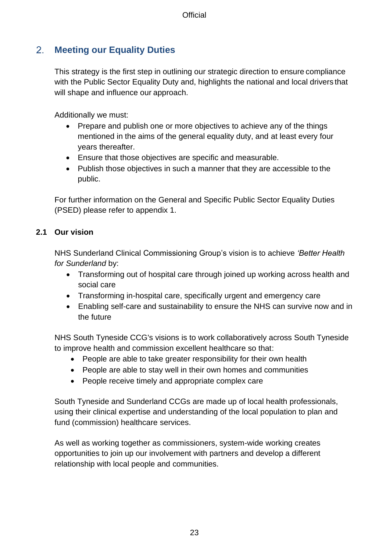#### <span id="page-6-0"></span> $2<sub>1</sub>$ **Meeting our Equality Duties**

This strategy is the first step in outlining our strategic direction to ensure compliance with the Public Sector Equality Duty and, highlights the national and local drivers that will shape and influence our approach.

Additionally we must:

- Prepare and publish one or more objectives to achieve any of the things mentioned in the aims of the general equality duty, and at least every four years thereafter.
- Ensure that those objectives are specific and measurable.
- Publish those objectives in such a manner that they are accessible to the public.

For further information on the General and Specific Public Sector Equality Duties (PSED) please refer to appendix 1.

#### <span id="page-6-1"></span>**2.1 Our vision**

NHS Sunderland Clinical Commissioning Group's vision is to achieve *'Better Health for Sunderland* by:

- Transforming out of hospital care through joined up working across health and social care
- Transforming in-hospital care, specifically urgent and emergency care
- Enabling self-care and sustainability to ensure the NHS can survive now and in the future

NHS South Tyneside CCG's visions is to work collaboratively across South Tyneside to improve health and commission excellent healthcare so that:

- People are able to take greater responsibility for their own health
- People are able to stay well in their own homes and communities
- People receive timely and appropriate complex care

South Tyneside and Sunderland CCGs are made up of local health professionals, using their clinical expertise and understanding of the local population to plan and fund (commission) healthcare services.

As well as working together as commissioners, system-wide working creates opportunities to join up our involvement with partners and develop a different relationship with local people and communities.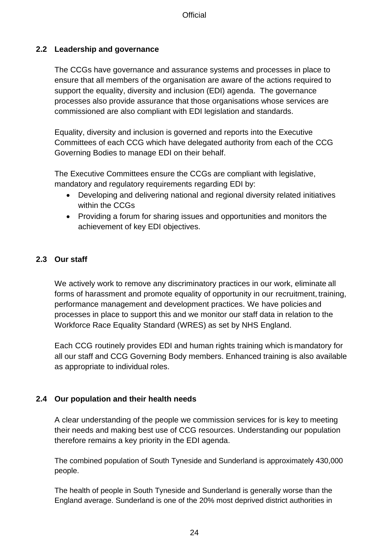#### <span id="page-7-0"></span>**2.2 Leadership and governance**

The CCGs have governance and assurance systems and processes in place to ensure that all members of the organisation are aware of the actions required to support the equality, diversity and inclusion (EDI) agenda. The governance processes also provide assurance that those organisations whose services are commissioned are also compliant with EDI legislation and standards.

Equality, diversity and inclusion is governed and reports into the Executive Committees of each CCG which have delegated authority from each of the CCG Governing Bodies to manage EDI on their behalf.

The Executive Committees ensure the CCGs are compliant with legislative, mandatory and regulatory requirements regarding EDI by:

- Developing and delivering national and regional diversity related initiatives within the CCGs
- Providing a forum for sharing issues and opportunities and monitors the achievement of key EDI objectives.

#### <span id="page-7-1"></span>**2.3 Our staff**

We actively work to remove any discriminatory practices in our work, eliminate all forms of harassment and promote equality of opportunity in our recruitment, training, performance management and development practices. We have policies and processes in place to support this and we monitor our staff data in relation to the Workforce Race Equality Standard (WRES) as set by NHS England.

Each CCG routinely provides EDI and human rights training which is mandatory for all our staff and CCG Governing Body members. Enhanced training is also available as appropriate to individual roles.

#### <span id="page-7-2"></span>**2.4 Our population and their health needs**

A clear understanding of the people we commission services for is key to meeting their needs and making best use of CCG resources. Understanding our population therefore remains a key priority in the EDI agenda.

The combined population of South Tyneside and Sunderland is approximately 430,000 people.

The health of people in South Tyneside and Sunderland is generally worse than the England average. Sunderland is one of the 20% most deprived district authorities in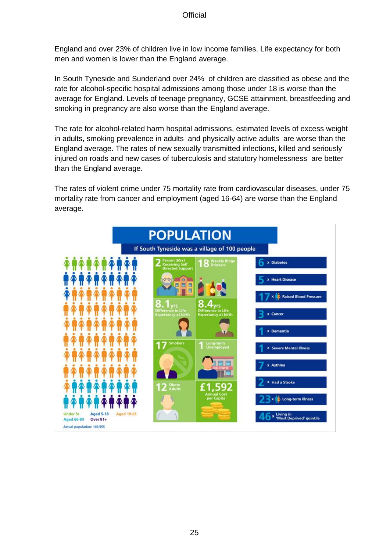England and over 23% of children live in low income families. Life expectancy for both men and women is lower than the England average.

In South Tyneside and Sunderland over 24% of children are classified as obese and the rate for alcohol-specific hospital admissions among those under 18 is worse than the average for England. Levels of teenage pregnancy, GCSE attainment, breastfeeding and smoking in pregnancy are also worse than the England average.

The rate for alcohol-related harm hospital admissions, estimated levels of excess weight in adults, smoking prevalence in adults and physically active adults are worse than the England average. The rates of new sexually transmitted infections, killed and seriously injured on roads and new cases of tuberculosis and statutory homelessness are better than the England average.

The rates of violent crime under 75 mortality rate from cardiovascular diseases, under 75 mortality rate from cancer and employment (aged 16-64) are worse than the England average.

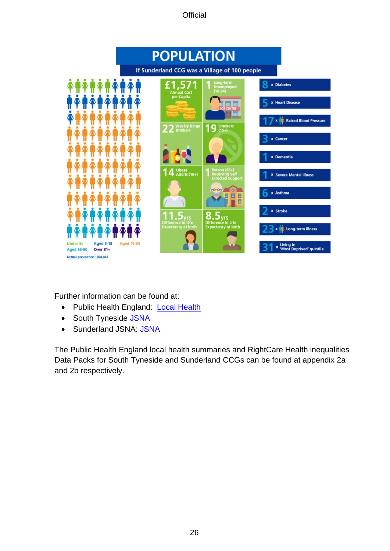

Further information can be found at:

- Public Health England: [Local Health](http://www.localhealth.org.uk/)
- South Tyneside [JSNA](https://www.southtyneside.gov.uk/article/49425?utm_source=friendly_URL&utm_medium=all_marketing_materials&utm_campaign=jsna)
- Sunderland JSNA: [JSNA](https://www.sunderland.gov.uk/article/15183/Joint-Strategic-Needs-Assessment-JSNA-)

The Public Health England local health summaries and RightCare Health inequalities Data Packs for South Tyneside and Sunderland CCGs can be found at appendix 2a and 2b respectively.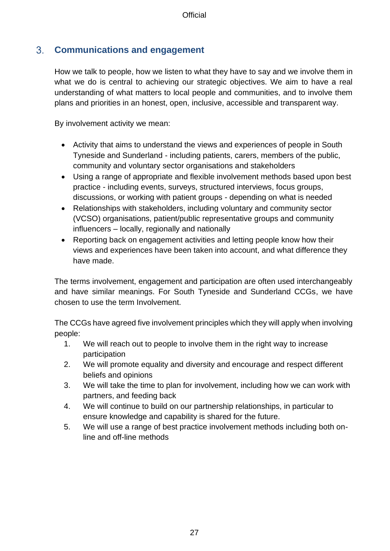#### <span id="page-10-0"></span> $3<sub>1</sub>$ **Communications and engagement**

How we talk to people, how we listen to what they have to say and we involve them in what we do is central to achieving our strategic objectives. We aim to have a real understanding of what matters to local people and communities, and to involve them plans and priorities in an honest, open, inclusive, accessible and transparent way.

By involvement activity we mean:

- Activity that aims to understand the views and experiences of people in South Tyneside and Sunderland - including patients, carers, members of the public, community and voluntary sector organisations and stakeholders
- Using a range of appropriate and flexible involvement methods based upon best practice - including events, surveys, structured interviews, focus groups, discussions, or working with patient groups - depending on what is needed
- Relationships with stakeholders, including voluntary and community sector (VCSO) organisations, patient/public representative groups and community influencers – locally, regionally and nationally
- Reporting back on engagement activities and letting people know how their views and experiences have been taken into account, and what difference they have made.

The terms involvement, engagement and participation are often used interchangeably and have similar meanings. For South Tyneside and Sunderland CCGs, we have chosen to use the term Involvement.

The CCGs have agreed five involvement principles which they will apply when involving people:

- 1. We will reach out to people to involve them in the right way to increase participation
- 2. We will promote equality and diversity and encourage and respect different beliefs and opinions
- 3. We will take the time to plan for involvement, including how we can work with partners, and feeding back
- 4. We will continue to build on our partnership relationships, in particular to ensure knowledge and capability is shared for the future.
- 5. We will use a range of best practice involvement methods including both online and off-line methods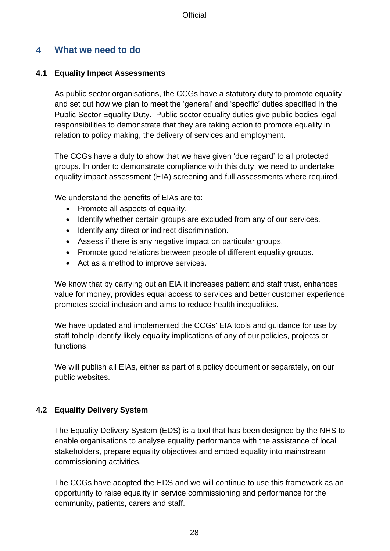#### <span id="page-11-0"></span>**What we need to do**

#### <span id="page-11-1"></span>**4.1 Equality Impact Assessments**

As public sector organisations, the CCGs have a statutory duty to promote equality and set out how we plan to meet the 'general' and 'specific' duties specified in the Public Sector Equality Duty. Public sector equality duties give public bodies legal responsibilities to demonstrate that they are taking action to promote equality in relation to policy making, the delivery of services and employment.

The CCGs have a duty to show that we have given 'due regard' to all protected groups. In order to demonstrate compliance with this duty, we need to undertake equality impact assessment (EIA) screening and full assessments where required.

We understand the benefits of EIAs are to:

- Promote all aspects of equality.
- Identify whether certain groups are excluded from any of our services.
- Identify any direct or indirect discrimination.
- Assess if there is any negative impact on particular groups.
- Promote good relations between people of different equality groups.
- Act as a method to improve services.

We know that by carrying out an EIA it increases patient and staff trust, enhances value for money, provides equal access to services and better customer experience, promotes social inclusion and aims to reduce health inequalities.

We have updated and implemented the CCGs' EIA tools and guidance for use by staff tohelp identify likely equality implications of any of our policies, projects or functions.

We will publish all EIAs, either as part of a policy document or separately, on our public websites.

#### <span id="page-11-2"></span>**4.2 Equality Delivery System**

The Equality Delivery System (EDS) is a tool that has been designed by the NHS to enable organisations to analyse equality performance with the assistance of local stakeholders, prepare equality objectives and embed equality into mainstream commissioning activities.

The CCGs have adopted the EDS and we will continue to use this framework as an opportunity to raise equality in service commissioning and performance for the community, patients, carers and staff.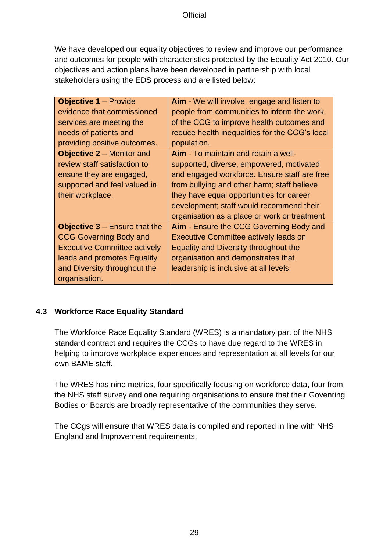We have developed our equality objectives to review and improve our performance and outcomes for people with characteristics protected by the Equality Act 2010. Our objectives and action plans have been developed in partnership with local stakeholders using the EDS process and are listed below:

| <b>Objective 1 – Provide</b>                      | Aim - We will involve, engage and listen to    |
|---------------------------------------------------|------------------------------------------------|
| evidence that commissioned                        | people from communities to inform the work     |
| services are meeting the                          | of the CCG to improve health outcomes and      |
| needs of patients and                             | reduce health inequalities for the CCG's local |
| providing positive outcomes.                      | population.                                    |
| <b>Objective 2 – Monitor and</b>                  | Aim - To maintain and retain a well-           |
| review staff satisfaction to                      | supported, diverse, empowered, motivated       |
| ensure they are engaged,                          | and engaged workforce. Ensure staff are free   |
| supported and feel valued in                      | from bullying and other harm; staff believe    |
| their workplace.                                  | they have equal opportunities for career       |
|                                                   | development; staff would recommend their       |
|                                                   | organisation as a place or work or treatment   |
| <b>Objective <math>3</math> – Ensure that the</b> | Aim - Ensure the CCG Governing Body and        |
| <b>CCG Governing Body and</b>                     | <b>Executive Committee actively leads on</b>   |
| <b>Executive Committee actively</b>               | Equality and Diversity throughout the          |
| leads and promotes Equality                       | organisation and demonstrates that             |
| and Diversity throughout the                      | leadership is inclusive at all levels.         |
| organisation.                                     |                                                |

#### <span id="page-12-0"></span>**4.3 Workforce Race Equality Standard**

The Workforce Race Equality Standard (WRES) is a mandatory part of the NHS standard contract and requires the CCGs to have due regard to the WRES in helping to improve workplace experiences and representation at all levels for our own BAME staff.

The WRES has nine metrics, four specifically focusing on workforce data, four from the NHS staff survey and one requiring organisations to ensure that their Govenring Bodies or Boards are broadly representative of the communities they serve.

The CCgs will ensure that WRES data is compiled and reported in line with NHS England and Improvement requirements.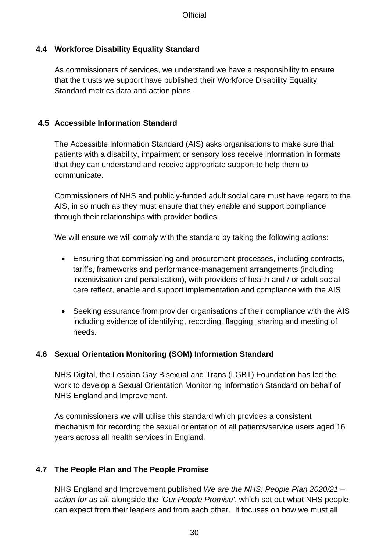#### <span id="page-13-0"></span>**4.4 Workforce Disability Equality Standard**

As commissioners of services, we understand we have a responsibility to ensure that the trusts we support have published their Workforce Disability Equality Standard metrics data and action plans.

#### <span id="page-13-1"></span>**4.5 Accessible Information Standard**

The Accessible Information Standard (AIS) asks organisations to make sure that patients with a disability, impairment or sensory loss receive information in formats that they can understand and receive appropriate support to help them to communicate.

Commissioners of NHS and publicly-funded adult social care must have regard to the AIS, in so much as they must ensure that they enable and support compliance through their relationships with provider bodies.

We will ensure we will comply with the standard by taking the following actions:

- Ensuring that commissioning and procurement processes, including contracts, tariffs, frameworks and performance-management arrangements (including incentivisation and penalisation), with providers of health and / or adult social care reflect, enable and support implementation and compliance with the AIS
- Seeking assurance from provider organisations of their compliance with the AIS including evidence of identifying, recording, flagging, sharing and meeting of needs.

#### <span id="page-13-2"></span>**4.6 Sexual Orientation Monitoring (SOM) Information Standard**

NHS Digital, the Lesbian Gay Bisexual and Trans (LGBT) Foundation has led the work to develop a [Sexual Orientation Monitoring Information Standard](https://www.england.nhs.uk/publication/sexual-orientation-monitoring-full-specification/) on behalf of NHS England and Improvement.

As commissioners we will utilise this standard which provides a consistent mechanism for recording the sexual orientation of all patients/service users aged 16 years across all health services in England.

#### <span id="page-13-3"></span>**4.7 The People Plan and The People Promise**

NHS England and Improvement published *We are the NHS: People Plan 2020/21 – action for us all,* alongside the *['Our People Promise](https://www.england.nhs.uk/our-nhs-people-promise)'*, which set out what NHS people can expect from their leaders and from each other. It focuses on how we must all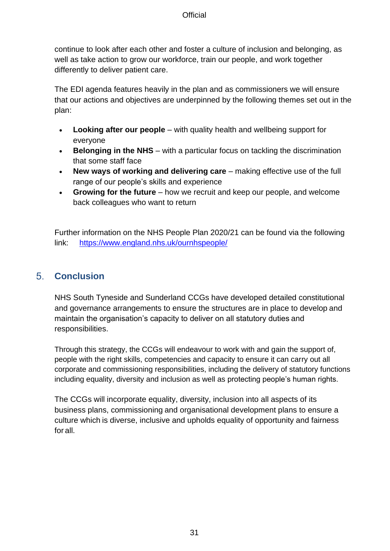continue to look after each other and foster a culture of inclusion and belonging, as well as take action to grow our workforce, train our people, and work together differently to deliver patient care.

The EDI agenda features heavily in the plan and as commissioners we will ensure that our actions and objectives are underpinned by the following themes set out in the plan:

- **Looking after our people** with quality health and wellbeing support for everyone
- **Belonging in the NHS** with a particular focus on tackling the discrimination that some staff face
- **New ways of working and delivering care** making effective use of the full range of our people's skills and experience
- **Growing for the future** how we recruit and keep our people, and welcome back colleagues who want to return

Further information on the NHS People Plan 2020/21 can be found via the following link: <https://www.england.nhs.uk/ournhspeople/>

#### <span id="page-14-0"></span> $5<sub>1</sub>$ **Conclusion**

NHS South Tyneside and Sunderland CCGs have developed detailed constitutional and governance arrangements to ensure the structures are in place to develop and maintain the organisation's capacity to deliver on all statutory duties and responsibilities.

Through this strategy, the CCGs will endeavour to work with and gain the support of, people with the right skills, competencies and capacity to ensure it can carry out all corporate and commissioning responsibilities, including the delivery of statutory functions including equality, diversity and inclusion as well as protecting people's human rights.

The CCGs will incorporate equality, diversity, inclusion into all aspects of its business plans, commissioning and organisational development plans to ensure a culture which is diverse, inclusive and upholds equality of opportunity and fairness for all.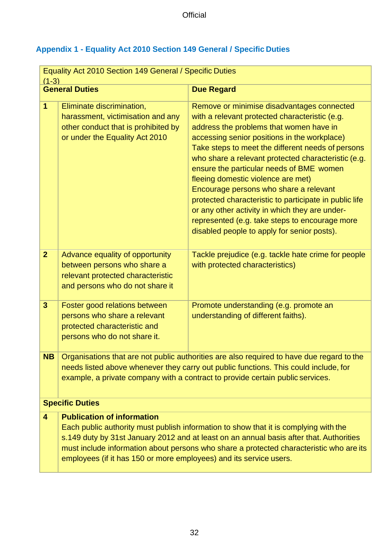## <span id="page-15-0"></span>**Appendix 1 - Equality Act 2010 Section 149 General / Specific Duties**

| Equality Act 2010 Section 149 General / Specific Duties<br>$(1-3)$ |                                                                                                                                                                                                                                                                                                                                                                                       |                                                                                                                                                                                                                                                                                                                                                                                                                                                                                                                                                                                                                                              |  |  |
|--------------------------------------------------------------------|---------------------------------------------------------------------------------------------------------------------------------------------------------------------------------------------------------------------------------------------------------------------------------------------------------------------------------------------------------------------------------------|----------------------------------------------------------------------------------------------------------------------------------------------------------------------------------------------------------------------------------------------------------------------------------------------------------------------------------------------------------------------------------------------------------------------------------------------------------------------------------------------------------------------------------------------------------------------------------------------------------------------------------------------|--|--|
|                                                                    | <b>General Duties</b>                                                                                                                                                                                                                                                                                                                                                                 | <b>Due Regard</b>                                                                                                                                                                                                                                                                                                                                                                                                                                                                                                                                                                                                                            |  |  |
| $\mathbf 1$                                                        | Eliminate discrimination,<br>harassment, victimisation and any<br>other conduct that is prohibited by<br>or under the Equality Act 2010                                                                                                                                                                                                                                               | Remove or minimise disadvantages connected<br>with a relevant protected characteristic (e.g.<br>address the problems that women have in<br>accessing senior positions in the workplace)<br>Take steps to meet the different needs of persons<br>who share a relevant protected characteristic (e.g.<br>ensure the particular needs of BME women<br>fleeing domestic violence are met)<br>Encourage persons who share a relevant<br>protected characteristic to participate in public life<br>or any other activity in which they are under-<br>represented (e.g. take steps to encourage more<br>disabled people to apply for senior posts). |  |  |
| 2 <sup>1</sup>                                                     | Advance equality of opportunity<br>between persons who share a<br>relevant protected characteristic<br>and persons who do not share it                                                                                                                                                                                                                                                | Tackle prejudice (e.g. tackle hate crime for people<br>with protected characteristics)                                                                                                                                                                                                                                                                                                                                                                                                                                                                                                                                                       |  |  |
| $\overline{\mathbf{3}}$                                            | Foster good relations between<br>persons who share a relevant<br>protected characteristic and<br>persons who do not share it.                                                                                                                                                                                                                                                         | Promote understanding (e.g. promote an<br>understanding of different faiths).                                                                                                                                                                                                                                                                                                                                                                                                                                                                                                                                                                |  |  |
| <b>NB</b>                                                          | Organisations that are not public authorities are also required to have due regard to the<br>needs listed above whenever they carry out public functions. This could include, for<br>example, a private company with a contract to provide certain public services.                                                                                                                   |                                                                                                                                                                                                                                                                                                                                                                                                                                                                                                                                                                                                                                              |  |  |
|                                                                    | <b>Specific Duties</b>                                                                                                                                                                                                                                                                                                                                                                |                                                                                                                                                                                                                                                                                                                                                                                                                                                                                                                                                                                                                                              |  |  |
| 4                                                                  | <b>Publication of information</b><br>Each public authority must publish information to show that it is complying with the<br>s.149 duty by 31st January 2012 and at least on an annual basis after that. Authorities<br>must include information about persons who share a protected characteristic who are its<br>employees (if it has 150 or more employees) and its service users. |                                                                                                                                                                                                                                                                                                                                                                                                                                                                                                                                                                                                                                              |  |  |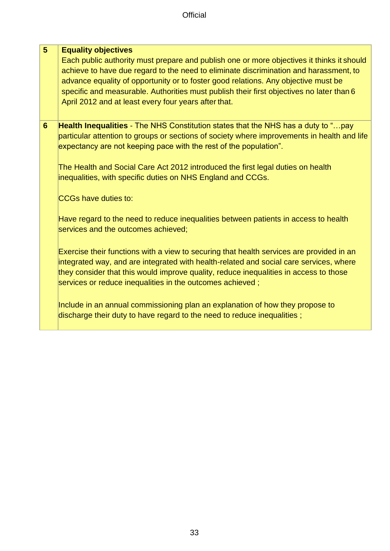#### **5 Equality objectives**

Each public authority must prepare and publish one or more objectives it thinks it should achieve to have due regard to the need to eliminate discrimination and harassment, to advance equality of opportunity or to foster good relations. Any objective must be specific and measurable. Authorities must publish their first objectives no later than 6 April 2012 and at least every four years after that.

**6 Health Inequalities** - The NHS Constitution states that the NHS has a duty to "…pay particular attention to groups or sections of society where improvements in health and life expectancy are not keeping pace with the rest of the population".

The Health and Social Care Act 2012 introduced the first legal duties on health inequalities, with specific duties on NHS England and CCGs.

CCGs have duties to:

Have regard to the need to reduce inequalities between patients in access to health services and the outcomes achieved;

Exercise their functions with a view to securing that health services are provided in an integrated way, and are integrated with health-related and social care services, where they consider that this would improve quality, reduce inequalities in access to those services or reduce inequalities in the outcomes achieved ;

Include in an annual commissioning plan an explanation of how they propose to discharge their duty to have regard to the need to reduce inequalities ;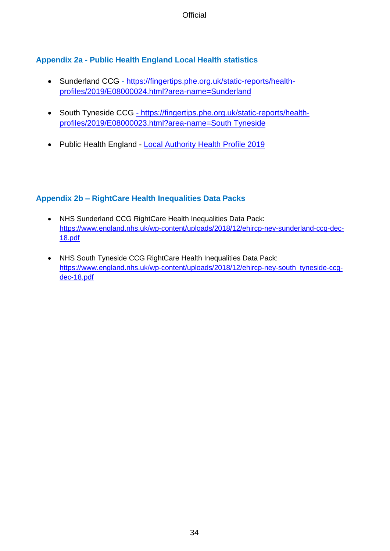### <span id="page-17-0"></span>**Appendix 2a - Public Health England Local Health statistics**

- Sunderland CCG [https://fingertips.phe.org.uk/static-reports/health](https://fingertips.phe.org.uk/static-reports/health-profiles/2019/E08000024.html?area-name=Sunderland)[profiles/2019/E08000024.html?area-name=Sunderland](https://fingertips.phe.org.uk/static-reports/health-profiles/2019/E08000024.html?area-name=Sunderland)
- South Tyneside CCG https://fingertips.phe.org.uk/static-reports/healthprofiles/2019/E08000023.html?area-name=South Tyneside
- Public Health England [Local Authority Health Profile 2019](https://fingertips.phe.org.uk/profile/health-profiles/data#page/13/gid/1938132696/pat/6/par/E12000001/ati/202/are/E08000022/cid/4)

#### <span id="page-17-1"></span>**Appendix 2b – RightCare Health Inequalities Data Packs**

- NHS Sunderland CCG RightCare Health Inequalities Data Pack: [https://www.england.nhs.uk/wp-content/uploads/2018/12/ehircp-ney-sunderland-ccg-dec-](https://www.england.nhs.uk/wp-content/uploads/2018/12/ehircp-ney-sunderland-ccg-dec-18.pdf)[18.pdf](https://www.england.nhs.uk/wp-content/uploads/2018/12/ehircp-ney-sunderland-ccg-dec-18.pdf)
- NHS South Tyneside CCG RightCare Health Inequalities Data Pack: [https://www.england.nhs.uk/wp-content/uploads/2018/12/ehircp-ney-south\\_tyneside-ccg](https://www.england.nhs.uk/wp-content/uploads/2018/12/ehircp-ney-south_tyneside-ccg-dec-18.pdf)[dec-18.pdf](https://www.england.nhs.uk/wp-content/uploads/2018/12/ehircp-ney-south_tyneside-ccg-dec-18.pdf)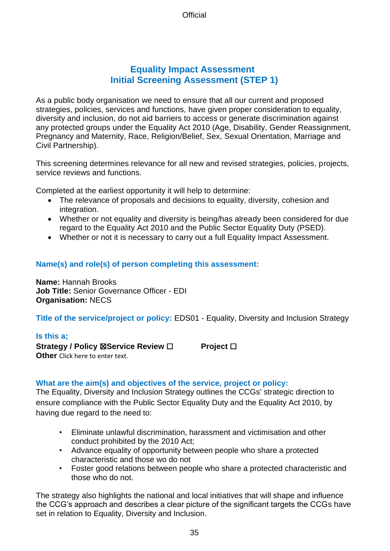### **Equality Impact Assessment Initial Screening Assessment (STEP 1)**

As a public body organisation we need to ensure that all our current and proposed strategies, policies, services and functions, have given proper consideration to equality, diversity and inclusion, do not aid barriers to access or generate discrimination against any protected groups under the Equality Act 2010 (Age, Disability, Gender Reassignment, Pregnancy and Maternity, Race, Religion/Belief, Sex, Sexual Orientation, Marriage and Civil Partnership).

This screening determines relevance for all new and revised strategies, policies, projects, service reviews and functions.

Completed at the earliest opportunity it will help to determine:

- The relevance of proposals and decisions to equality, diversity, cohesion and integration.
- Whether or not equality and diversity is being/has already been considered for due regard to the Equality Act 2010 and the Public Sector Equality Duty (PSED).
- Whether or not it is necessary to carry out a full Equality Impact Assessment.

#### **Name(s) and role(s) of person completing this assessment:**

**Name:** Hannah Brooks **Job Title:** Senior Governance Officer - EDI **Organisation:** NECS

#### **Title of the service/project or policy:** EDS01 - Equality, Diversity and Inclusion Strategy

#### **Is this a;**

**Strategy / Policy** ☒**Service Review** ☐ **Project** ☐ **Other** Click here to enter text.

#### **What are the aim(s) and objectives of the service, project or policy:**

The Equality, Diversity and Inclusion Strategy outlines the CCGs' strategic direction to ensure compliance with the Public Sector Equality Duty and the Equality Act 2010, by having due regard to the need to:

- Eliminate unlawful discrimination, harassment and victimisation and other conduct prohibited by the 2010 Act;
- Advance equality of opportunity between people who share a protected characteristic and those wo do not
- Foster good relations between people who share a protected characteristic and those who do not.

The strategy also highlights the national and local initiatives that will shape and influence the CCG's approach and describes a clear picture of the significant targets the CCGs have set in relation to Equality, Diversity and Inclusion.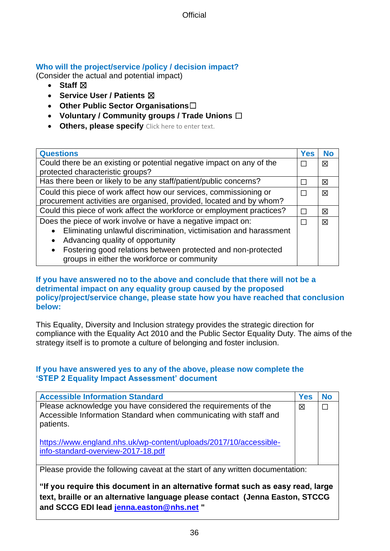#### **Who will the project/service /policy / decision impact?**

(Consider the actual and potential impact)

- **Staff**  $⊠$
- **Service User / Patients** ☒
- **Other Public Sector Organisations**☐
- **Voluntary / Community groups / Trade Unions** ☐
- **Others, please specify** Click here to enter text.

| <b>Questions</b>                                                                                                         | Yes | <b>No</b> |
|--------------------------------------------------------------------------------------------------------------------------|-----|-----------|
|                                                                                                                          |     |           |
| Could there be an existing or potential negative impact on any of the                                                    |     |           |
| protected characteristic groups?                                                                                         |     |           |
| Has there been or likely to be any staff/patient/public concerns?                                                        |     |           |
| Could this piece of work affect how our services, commissioning or                                                       |     |           |
| procurement activities are organised, provided, located and by whom?                                                     |     |           |
| Could this piece of work affect the workforce or employment practices?                                                   |     |           |
| Does the piece of work involve or have a negative impact on:                                                             |     | 図         |
| Eliminating unlawful discrimination, victimisation and harassment                                                        |     |           |
| Advancing quality of opportunity<br>$\bullet$                                                                            |     |           |
| Fostering good relations between protected and non-protected<br>$\bullet$<br>groups in either the workforce or community |     |           |

#### **If you have answered no to the above and conclude that there will not be a detrimental impact on any equality group caused by the proposed policy/project/service change, please state how you have reached that conclusion below:**

This Equality, Diversity and Inclusion strategy provides the strategic direction for compliance with the Equality Act 2010 and the Public Sector Equality Duty. The aims of the strategy itself is to promote a culture of belonging and foster inclusion.

#### **If you have answered yes to any of the above, please now complete the 'STEP 2 Equality Impact Assessment' document**

| <b>Accessible Information Standard</b>                                                                                                           | <b>Yes</b> | <b>No</b> |
|--------------------------------------------------------------------------------------------------------------------------------------------------|------------|-----------|
| Please acknowledge you have considered the requirements of the<br>Accessible Information Standard when communicating with staff and<br>patients. | 図          |           |
| https://www.england.nhs.uk/wp-content/uploads/2017/10/accessible-<br>info-standard-overview-2017-18.pdf                                          |            |           |
| Please provide the following caveat at the start of any written documentation:                                                                   |            |           |
| "If you require this document in an alternative format such as easy read Jarge                                                                   |            |           |

ument in an alternative format such as easy read, large **text, braille or an alternative language please contact (Jenna Easton, STCCG and SCCG EDI lead [jenna.easton@nhs.net](mailto:jenna.easton@nhs.net) "**